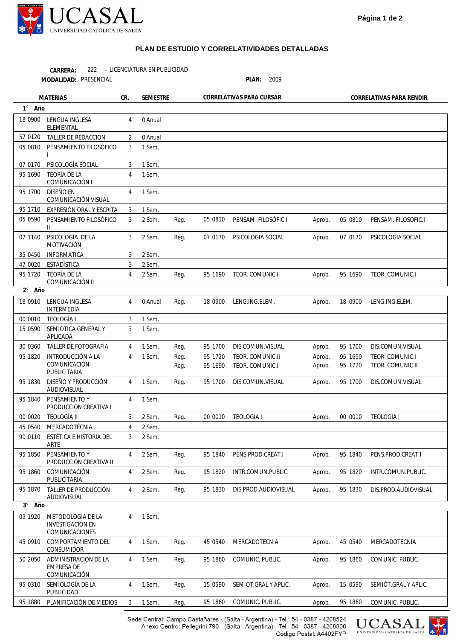

## **PLAN DE ESTUDIO Y CORRELATIVIDADES DETALLADAS**

222 - LICENCIATURA EN PUBLICIDAD **CARRERA:**

**MODALIDAD:**

PRESENCIAL **PLAN:** 2009

**MATERIAS CR. SEMESTRE CORRELATIVAS PARA CURSAR CORRELATIVAS PARA RENDIR** 

| 1° Año          |                                                                |                |         |      |         |                      |        |         |                      |
|-----------------|----------------------------------------------------------------|----------------|---------|------|---------|----------------------|--------|---------|----------------------|
| 18 0900         | LENGUA INGLESA<br><b>ELEMENTAL</b>                             | 4              | 0 Anual |      |         |                      |        |         |                      |
| 57 0120         | TALLER DE REDACCIÓN                                            | 2              | 0 Anual |      |         |                      |        |         |                      |
| 05 0810         | PENSAMIENTO FILOSÓFICO                                         | 3              | 1 Sem.  |      |         |                      |        |         |                      |
| 07 0170         | PSICOLOGÍA SOCIAL                                              | 3              | 1 Sem.  |      |         |                      |        |         |                      |
| 95 1690         | <b>TEORÍA DE LA</b><br>COMUNICACIÓN I                          | 4              | 1 Sem.  |      |         |                      |        |         |                      |
| 95 1700         | <b>DISEÑO EN</b><br>COMUNICACIÓN VISUAL                        | 4              | 1 Sem.  |      |         |                      |        |         |                      |
| 95 1710         | EXPRESIÓN ORAL Y ESCRITA                                       | 3              | 1 Sem.  |      |         |                      |        |         |                      |
| 05 05 90        | PENSAMIENTO FILOSÓFICO<br>$\mathbf{II}$                        | 3              | 2 Sem.  | Reg. | 05 0810 | PENSAM. FILOSÓFIC.I  | Aprob. | 05 0810 | PENSAM. FILOSÓFIC.I  |
| 07 1140         | PSICOLOGÍA DE LA<br>MOTIVACIÓN                                 | 3              | 2 Sem.  | Reg. | 07 0170 | PSICOLOGIA SOCIAL    | Aprob. | 07 0170 | PSICOLOGIA SOCIAL    |
| 35 0450         | INFORMÁTICA                                                    | 3              | 2 Sem.  |      |         |                      |        |         |                      |
| 47 0020         | <b>ESTADÍSTICA</b>                                             | 3              | 2 Sem.  |      |         |                      |        |         |                      |
| 95 1720         | <b>TEORÍA DE LA</b>                                            | 4              | 2 Sem.  | Reg. | 95 1690 | TEOR. COMUNIC.I      | Aprob. | 95 1690 | TEOR. COMUNIC.I      |
| $2^{\circ}$ Año | COMUNICACIÓN II                                                |                |         |      |         |                      |        |         |                      |
| 18 0910         | LENGUA INGLESA<br>INTERMEDIA                                   | 4              | 0 Anual | Reg. | 18 0900 | LENG.ING.ELEM.       | Aprob. | 18 0900 | LENG.ING.ELEM.       |
| 00 0010         | <b>TEOLOGÍA</b>                                                | 3              | 1 Sem.  |      |         |                      |        |         |                      |
| 15 0590         | SEMIÓTICA GENERAL Y<br>APLICADA                                | 3              | 1 Sem.  |      |         |                      |        |         |                      |
| 30 0360         | TALLER DE FOTOGRAFÍA                                           | 4              | 1 Sem.  | Reg. | 95 1700 | DIS.COMUN.VISUAL     | Aprob. | 95 1700 | DIS.COMUN.VISUAL     |
| 95 1820         | <b>INTRODUCCIÓN A LA</b>                                       | 4              | 1 Sem.  | Reg. | 95 1720 | TEOR. COMUNIC.II     | Aprob. | 95 1690 | TEOR. COMUNIC.I      |
|                 | COMUNICACIÓN<br>PUBLICITARIA                                   |                |         | Reg. | 95 1690 | TEOR. COMUNIC.I      | Aprob. | 95 1720 | TEOR. COMUNIC.II     |
| 95 1830         | DISEÑO Y PRODUCCIÓN<br>AUDIOVISUAL                             | 4              | 1 Sem.  | Reg. | 95 1700 | DIS.COMUN.VISUAL     | Aprob. | 95 1700 | DIS.COMUN.VISUAL     |
| 95 1840         | PENSAMIENTO Y<br>PRODUCCIÓN CREATIVA I                         | 4              | 1 Sem.  |      |         |                      |        |         |                      |
| 00 00 20        | <b>TEOLOGÍA II</b>                                             | 3              | 2 Sem.  | Reg. | 00 0010 | <b>TEOLOGIA I</b>    | Aprob. | 00 0010 | <b>TEOLOGIA I</b>    |
| 45 0540         | MERCADOTÉCNIA                                                  | 4              | 2 Sem.  |      |         |                      |        |         |                      |
| 90 0110         | ESTÉTICA E HISTORIA DEL<br>ARTE                                | 3              | 2 Sem.  |      |         |                      |        |         |                      |
| 95 1850         | PENSAMIENTO Y<br>PRODUCCIÓN CREATIVA II                        | 4              | 2 Sem.  | Reg. | 95 1840 | PENS.PROD.CREAT.I    | Aprob. | 95 1840 | PENS.PROD.CREAT.I    |
| 95 1860         | COMUNICACIÓN<br>PUBLICITARIA                                   | 4              | 2 Sem.  | Reg. | 95 1820 | INTR.COMUN.PUBLIC.   | Aprob. | 95 1820 | INTR.COMUN.PUBLIC.   |
| 95 1870         | TALLER DE PRODUCCIÓN<br>AUDIOVISUAL                            | 4              | 2 Sem.  | Reg. | 95 1830 | DIS.PROD.AUDIOVISUAL | Aprob. | 95 1830 | DIS.PROD.AUDIOVISUAL |
| $3^\circ$ Año   |                                                                |                |         |      |         |                      |        |         |                      |
| 09 1920         | METODOLOGÍA DE LA<br><b>INVESTIGACIÓN EN</b><br>COMUNICACIONES | 4              | 1 Sem.  |      |         |                      |        |         |                      |
| 45 0910         | COMPORTAMIENTO DEL<br>CONSUMIDOR                               | 4              | 1 Sem.  | Reg. | 45 0540 | MERCADOTECNIA        | Aprob. | 45 0540 | MERCADOTECNIA        |
| 50 2050         | ADMINISTRACIÓN DE LA<br><b>EMPRESA DE</b><br>COMUNICACIÓN      | $\overline{4}$ | 1 Sem.  | Reg. | 95 1860 | COMUNIC. PUBLIC.     | Aprob. | 95 1860 | COMUNIC. PUBLIC.     |
| 95 0310         | SEMIOLOGÍA DE LA<br>PUBLICIDAD                                 | 4              | 1 Sem.  | Reg. | 15 0590 | SEMIÓT.GRAL Y APLIC. | Aprob. | 15 0590 | SEMIÓT.GRAL Y APLIC. |
| 95 1880         | PLANIFICACIÓN DE MEDIOS                                        | 3              | 1 Sem.  | Reg. | 95 1860 | COMUNIC. PUBLIC.     | Aprob. | 95 1860 | COMUNIC. PUBLIC.     |
|                 |                                                                |                |         |      |         |                      |        |         |                      |

Sede Central: Campo Castañares - (Salta - Argentina) - Tel.: 54 - 0387 - 4268524<br>Anexo Centro: Pellegrini 790 - (Salta - Argentina) - Tel.: 54 - 0387 - 4268800 Código Postal: A4402FYP